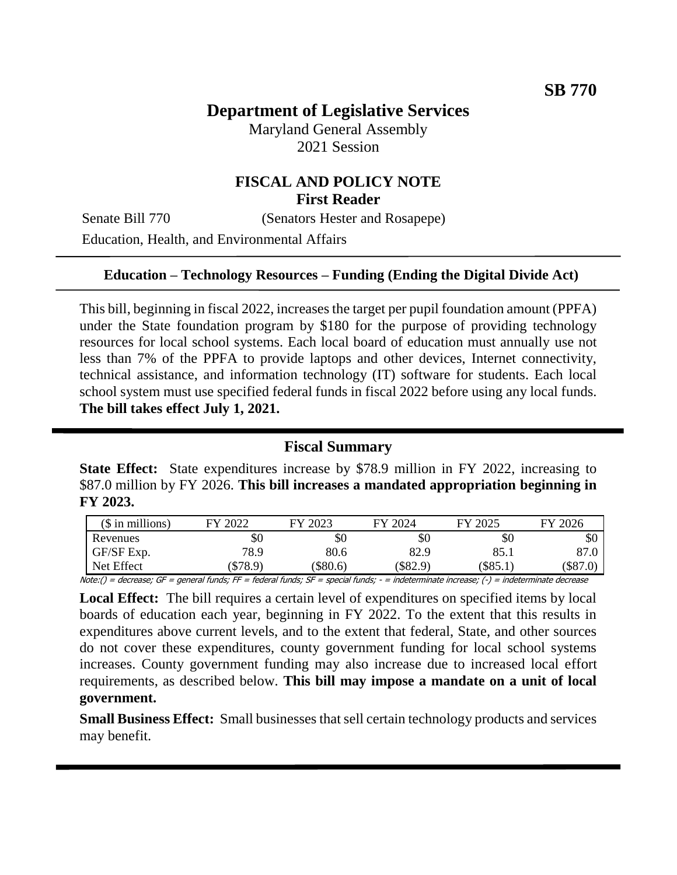# **Department of Legislative Services**

Maryland General Assembly 2021 Session

## **FISCAL AND POLICY NOTE First Reader**

Senate Bill 770 (Senators Hester and Rosapepe)

Education, Health, and Environmental Affairs

#### **Education – Technology Resources – Funding (Ending the Digital Divide Act)**

This bill, beginning in fiscal 2022, increases the target per pupil foundation amount (PPFA) under the State foundation program by \$180 for the purpose of providing technology resources for local school systems. Each local board of education must annually use not less than 7% of the PPFA to provide laptops and other devices, Internet connectivity, technical assistance, and information technology (IT) software for students. Each local school system must use specified federal funds in fiscal 2022 before using any local funds. **The bill takes effect July 1, 2021.**

#### **Fiscal Summary**

**State Effect:** State expenditures increase by \$78.9 million in FY 2022, increasing to \$87.0 million by FY 2026. **This bill increases a mandated appropriation beginning in FY 2023.**

| $($$ in millions) | FY 2022                                                                                                                                  | FY 2023 | FY 2024  | FY 2025    | FY 2026    |
|-------------------|------------------------------------------------------------------------------------------------------------------------------------------|---------|----------|------------|------------|
| Revenues          | \$0                                                                                                                                      | \$0     | \$0      | \$0        | \$0        |
| GF/SF Exp.        | 78.9                                                                                                                                     | 80.6    | 82.9     | 85.1       | 87.0       |
| Net Effect        | (\$78.9)                                                                                                                                 | \$80.6  | (\$82.9) | $(\$85.1)$ | $(\$87.0)$ |
|                   | Note:() = decrease; GF = general funds; FF = federal funds; SF = special funds; - = indeterminate increase; (-) = indeterminate decrease |         |          |            |            |

**Local Effect:** The bill requires a certain level of expenditures on specified items by local boards of education each year, beginning in FY 2022. To the extent that this results in expenditures above current levels, and to the extent that federal, State, and other sources do not cover these expenditures, county government funding for local school systems increases. County government funding may also increase due to increased local effort requirements, as described below. **This bill may impose a mandate on a unit of local government.**

**Small Business Effect:** Small businesses that sell certain technology products and services may benefit.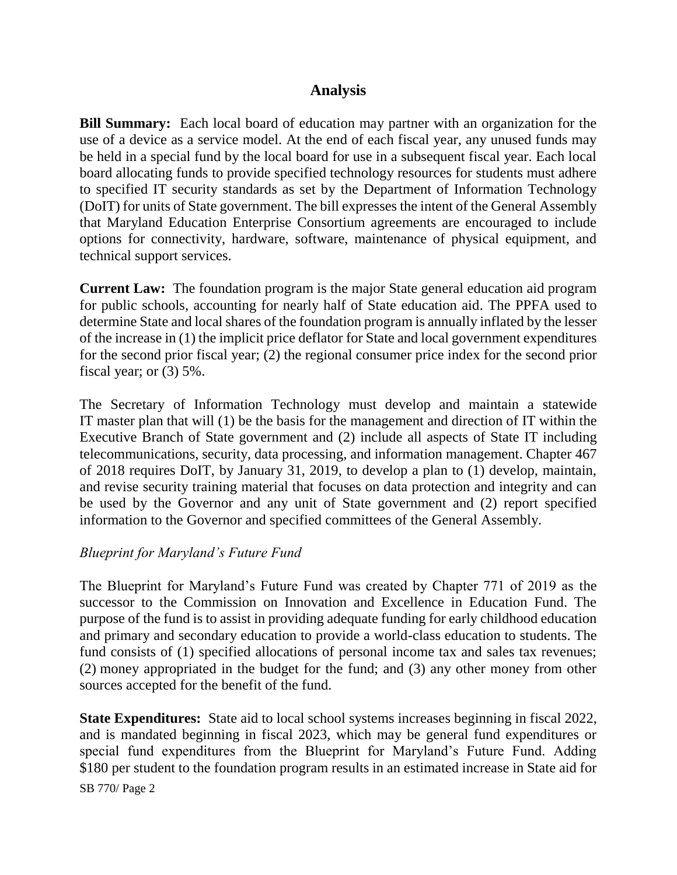### **Analysis**

**Bill Summary:** Each local board of education may partner with an organization for the use of a device as a service model. At the end of each fiscal year, any unused funds may be held in a special fund by the local board for use in a subsequent fiscal year. Each local board allocating funds to provide specified technology resources for students must adhere to specified IT security standards as set by the Department of Information Technology (DoIT) for units of State government. The bill expresses the intent of the General Assembly that Maryland Education Enterprise Consortium agreements are encouraged to include options for connectivity, hardware, software, maintenance of physical equipment, and technical support services.

**Current Law:** The foundation program is the major State general education aid program for public schools, accounting for nearly half of State education aid. The PPFA used to determine State and local shares of the foundation program is annually inflated by the lesser of the increase in (1) the implicit price deflator for State and local government expenditures for the second prior fiscal year; (2) the regional consumer price index for the second prior fiscal year; or (3) 5%.

The Secretary of Information Technology must develop and maintain a statewide IT master plan that will (1) be the basis for the management and direction of IT within the Executive Branch of State government and (2) include all aspects of State IT including telecommunications, security, data processing, and information management. Chapter 467 of 2018 requires DoIT, by January 31, 2019, to develop a plan to (1) develop, maintain, and revise security training material that focuses on data protection and integrity and can be used by the Governor and any unit of State government and (2) report specified information to the Governor and specified committees of the General Assembly.

#### *Blueprint for Maryland's Future Fund*

The Blueprint for Maryland's Future Fund was created by Chapter 771 of 2019 as the successor to the Commission on Innovation and Excellence in Education Fund. The purpose of the fund is to assist in providing adequate funding for early childhood education and primary and secondary education to provide a world-class education to students. The fund consists of (1) specified allocations of personal income tax and sales tax revenues; (2) money appropriated in the budget for the fund; and (3) any other money from other sources accepted for the benefit of the fund.

**State Expenditures:** State aid to local school systems increases beginning in fiscal 2022, and is mandated beginning in fiscal 2023, which may be general fund expenditures or special fund expenditures from the Blueprint for Maryland's Future Fund. Adding \$180 per student to the foundation program results in an estimated increase in State aid for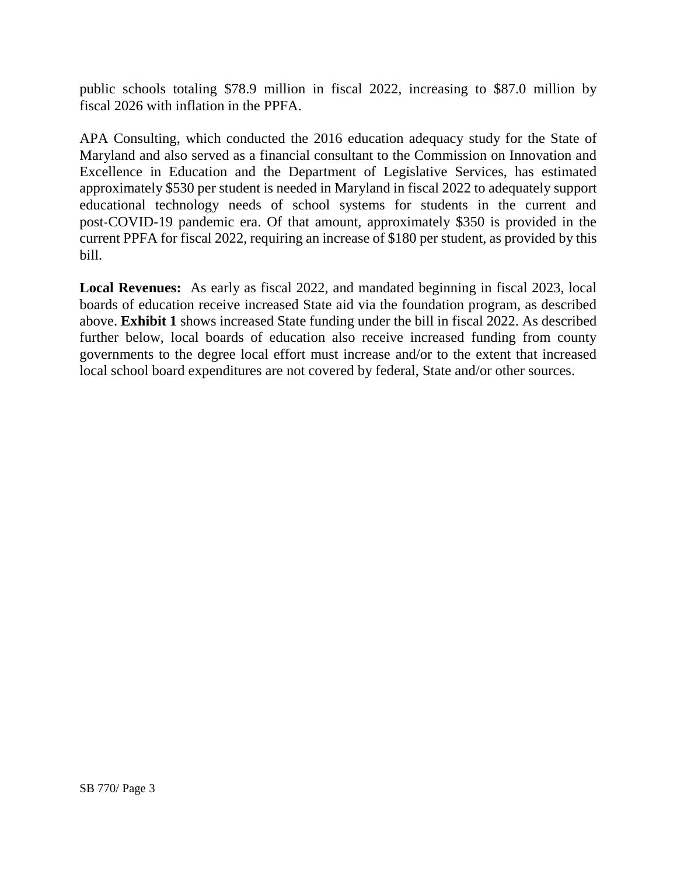public schools totaling \$78.9 million in fiscal 2022, increasing to \$87.0 million by fiscal 2026 with inflation in the PPFA.

APA Consulting, which conducted the 2016 education adequacy study for the State of Maryland and also served as a financial consultant to the Commission on Innovation and Excellence in Education and the Department of Legislative Services, has estimated approximately \$530 per student is needed in Maryland in fiscal 2022 to adequately support educational technology needs of school systems for students in the current and post-COVID-19 pandemic era. Of that amount, approximately \$350 is provided in the current PPFA for fiscal 2022, requiring an increase of \$180 per student, as provided by this bill.

**Local Revenues:** As early as fiscal 2022, and mandated beginning in fiscal 2023, local boards of education receive increased State aid via the foundation program, as described above. **Exhibit 1** shows increased State funding under the bill in fiscal 2022. As described further below, local boards of education also receive increased funding from county governments to the degree local effort must increase and/or to the extent that increased local school board expenditures are not covered by federal, State and/or other sources.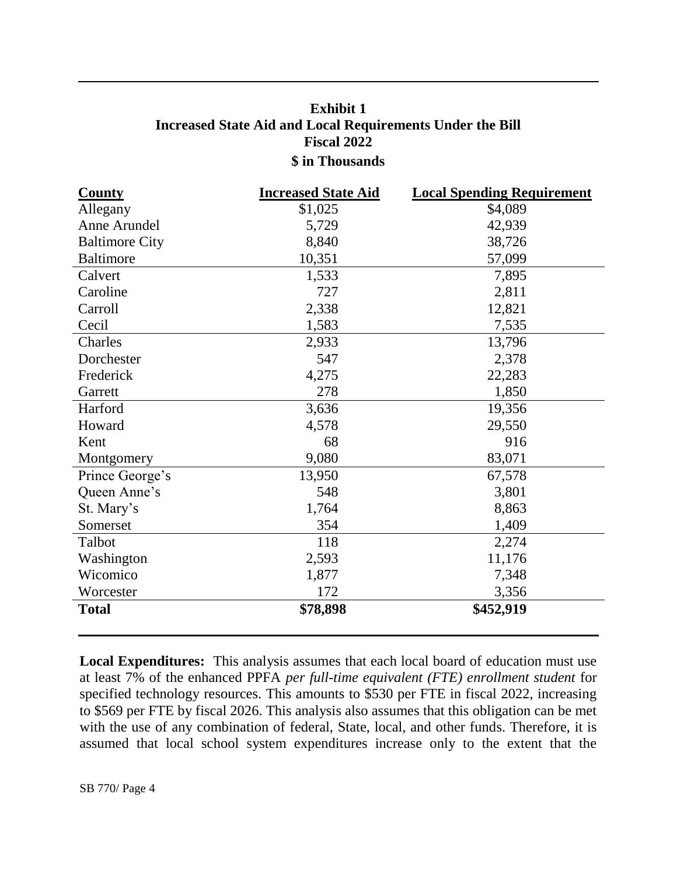## **Exhibit 1 Increased State Aid and Local Requirements Under the Bill Fiscal 2022 \$ in Thousands**

| <b>County</b>         | <b>Increased State Aid</b> | <b>Local Spending Requirement</b> |
|-----------------------|----------------------------|-----------------------------------|
| Allegany              | \$1,025                    | \$4,089                           |
| Anne Arundel          | 5,729                      | 42,939                            |
| <b>Baltimore City</b> | 8,840                      | 38,726                            |
| <b>Baltimore</b>      | 10,351                     | 57,099                            |
| Calvert               | 1,533                      | 7,895                             |
| Caroline              | 727                        | 2,811                             |
| Carroll               | 2,338                      | 12,821                            |
| Cecil                 | 1,583                      | 7,535                             |
| Charles               | 2,933                      | 13,796                            |
| Dorchester            | 547                        | 2,378                             |
| Frederick             | 4,275                      | 22,283                            |
| Garrett               | 278                        | 1,850                             |
| Harford               | 3,636                      | 19,356                            |
| Howard                | 4,578                      | 29,550                            |
| Kent                  | 68                         | 916                               |
| Montgomery            | 9,080                      | 83,071                            |
| Prince George's       | 13,950                     | 67,578                            |
| Queen Anne's          | 548                        | 3,801                             |
| St. Mary's            | 1,764                      | 8,863                             |
| Somerset              | 354                        | 1,409                             |
| Talbot                | 118                        | 2,274                             |
| Washington            | 2,593                      | 11,176                            |
| Wicomico              | 1,877                      | 7,348                             |
| Worcester             | 172                        | 3,356                             |
| <b>Total</b>          | \$78,898                   | \$452,919                         |

**Local Expenditures:** This analysis assumes that each local board of education must use at least 7% of the enhanced PPFA *per full-time equivalent (FTE) enrollment student* for specified technology resources. This amounts to \$530 per FTE in fiscal 2022, increasing to \$569 per FTE by fiscal 2026. This analysis also assumes that this obligation can be met with the use of any combination of federal, State, local, and other funds. Therefore, it is assumed that local school system expenditures increase only to the extent that the